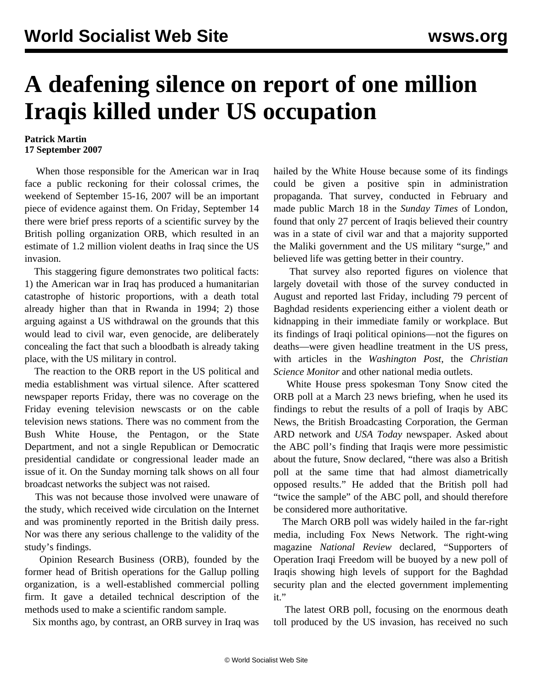## **A deafening silence on report of one million Iraqis killed under US occupation**

## **Patrick Martin 17 September 2007**

 When those responsible for the American war in Iraq face a public reckoning for their colossal crimes, the weekend of September 15-16, 2007 will be an important piece of evidence against them. On Friday, September 14 there were brief press reports of a scientific survey by the British polling organization ORB, which resulted in an estimate of 1.2 million violent deaths in Iraq since the US invasion.

 This staggering figure demonstrates two political facts: 1) the American war in Iraq has produced a humanitarian catastrophe of historic proportions, with a death total already higher than that in Rwanda in 1994; 2) those arguing against a US withdrawal on the grounds that this would lead to civil war, even genocide, are deliberately concealing the fact that such a bloodbath is already taking place, with the US military in control.

 The reaction to the ORB report in the US political and media establishment was virtual silence. After scattered newspaper reports Friday, there was no coverage on the Friday evening television newscasts or on the cable television news stations. There was no comment from the Bush White House, the Pentagon, or the State Department, and not a single Republican or Democratic presidential candidate or congressional leader made an issue of it. On the Sunday morning talk shows on all four broadcast networks the subject was not raised.

 This was not because those involved were unaware of the study, which received wide circulation on the Internet and was prominently reported in the British daily press. Nor was there any serious challenge to the validity of the study's findings.

 [Opinion Research Business \(ORB\)](http://www.opinion.co.uk/Newsroom_details.aspx?NewsId=78), founded by the former head of British operations for the Gallup polling organization, is a well-established commercial polling firm. It gave a detailed technical description of the methods used to make a scientific random sample.

Six months ago, by contrast, an ORB survey in Iraq was

hailed by the White House because some of its findings could be given a positive spin in administration propaganda. That survey, conducted in February and made public March 18 in the *Sunday Times* of London, found that only 27 percent of Iraqis believed their country was in a state of civil war and that a majority supported the Maliki government and the US military "surge," and believed life was getting better in their country.

 That survey also reported figures on violence that largely dovetail with those of the survey conducted in August and reported last Friday, including 79 percent of Baghdad residents experiencing either a violent death or kidnapping in their immediate family or workplace. But its findings of Iraqi political opinions—not the figures on deaths—were given headline treatment in the US press, with articles in the *Washington Post*, the *Christian Science Monitor* and other national media outlets.

 White House press spokesman Tony Snow cited the ORB poll at a March 23 news briefing, when he used its findings to rebut the results of a poll of Iraqis by ABC News, the British Broadcasting Corporation, the German ARD network and *USA Today* newspaper. Asked about the ABC poll's finding that Iraqis were more pessimistic about the future, Snow declared, "there was also a British poll at the same time that had almost diametrically opposed results." He added that the British poll had "twice the sample" of the ABC poll, and should therefore be considered more authoritative.

 The March ORB poll was widely hailed in the far-right media, including Fox News Network. The right-wing magazine *National Review* declared, "Supporters of Operation Iraqi Freedom will be buoyed by a new poll of Iraqis showing high levels of support for the Baghdad security plan and the elected government implementing it."

 The latest ORB poll, focusing on the enormous death toll produced by the US invasion, has received no such